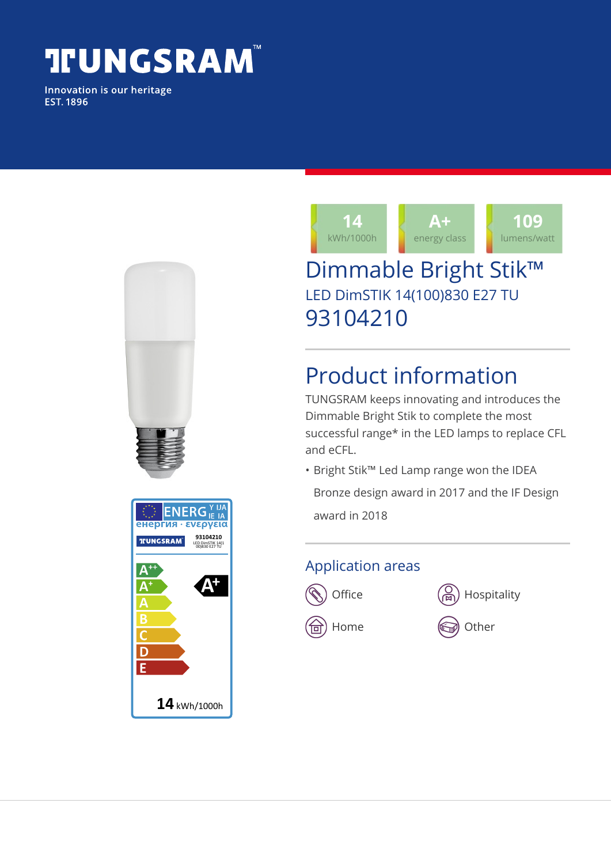# **TUNGSRAM**

Innovation is our heritage **EST. 1896** 





### Dimmable Bright Stik™ LED DimSTIK 14(100)830 E27 TU 93104210

## Product information

TUNGSRAM keeps innovating and introduces the Dimmable Bright Stik to complete the most successful range\* in the LED lamps to replace CFL and eCFL.

• Bright Stik™ Led Lamp range won the IDEA Bronze design award in 2017 and the IF Design

award in 2018

#### Application areas





 $\textcircled{\tiny{\textsf{m}}}$  Home  $\textcircled{\tiny{\textsf{m}}}$  Other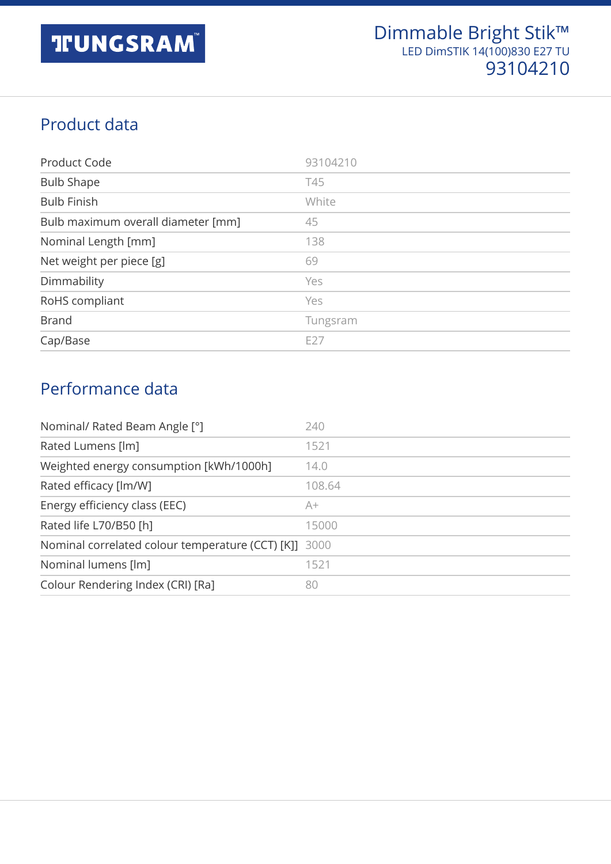#### Product data

| Product Code                       | 93104210        |
|------------------------------------|-----------------|
| <b>Bulb Shape</b>                  | T45             |
| <b>Bulb Finish</b>                 | White           |
| Bulb maximum overall diameter [mm] | 45              |
| Nominal Length [mm]                | 138             |
| Net weight per piece [g]           | 69              |
| Dimmability                        | Yes             |
| RoHS compliant                     | Yes             |
| <b>Brand</b>                       | Tungsram        |
| Cap/Base                           | E <sub>27</sub> |

#### Performance data

| Nominal/ Rated Beam Angle [°]                         | 240    |
|-------------------------------------------------------|--------|
| Rated Lumens [lm]                                     | 1521   |
| Weighted energy consumption [kWh/1000h]               | 14.0   |
| Rated efficacy [lm/W]                                 | 108.64 |
| Energy efficiency class (EEC)                         | A+     |
| Rated life L70/B50 [h]                                | 15000  |
| Nominal correlated colour temperature (CCT) [K]] 3000 |        |
| Nominal lumens [lm]                                   | 1521   |
| Colour Rendering Index (CRI) [Ra]                     | 80     |